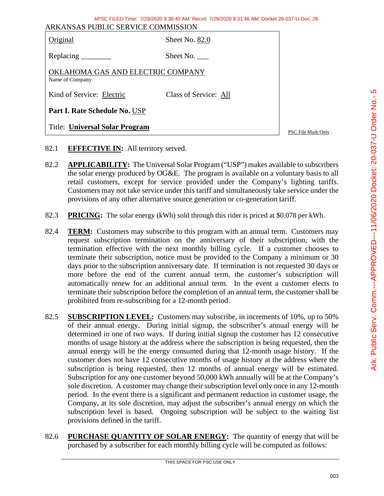| AFSU FILED TIME. 7729/2020 9.30.40 AM. REGVI 7729/2020 9.31.40 AM. DOCKEL 20-037-0-DOC. 20<br>ARKANSAS PUBLIC SERVICE COMMISSION |                       |                    |  |
|----------------------------------------------------------------------------------------------------------------------------------|-----------------------|--------------------|--|
| Original                                                                                                                         | Sheet No. 82.0        |                    |  |
|                                                                                                                                  | Sheet No.             |                    |  |
| OKLAHOMA GAS AND ELECTRIC COMPANY<br>Name of Company                                                                             |                       |                    |  |
| Kind of Service: Electric                                                                                                        | Class of Service: All |                    |  |
| Part I. Rate Schedule No. USP                                                                                                    |                       |                    |  |
| <b>Title: Universal Solar Program</b>                                                                                            |                       | PSC File Mark Only |  |

APSC FILED Time: 7/29/2020 9:38:40 AM: Recvd 7/29/2020 9:31:46 AM: Docket 20-037-U-Doc. 26

- 82.1 **EFFECTIVE IN:** All territory served.
- 82.2 **APPLICABILITY:** The Universal Solar Program ("USP") makes available to subscribers the solar energy produced by OG&E. The program is available on a voluntary basis to all retail customers, except for service provided under the Company's lighting tariffs. Customers may not take service under this tariff and simultaneously take service under the provisions of any other alternative source generation or co-generation tariff.
- 82.3 **PRICING:** The solar energy (kWh) sold through this rider is priced at \$0.078 per kWh.
- 82.4 **TERM:** Customers may subscribe to this program with an annual term. Customers may request subscription termination on the anniversary of their subscription, with the termination effective with the next monthly billing cycle. If a customer chooses to terminate their subscription, notice must be provided to the Company a minimum or 30 days prior to the subscription anniversary date. If termination is not requested 30 days or more before the end of the current annual term, the customer's subscription will automatically renew for an additional annual term. In the event a customer elects to terminate their subscription before the completion of an annual term, the customer shall be prohibited from re-subscribing for a 12-month period.
- 82.5 **SUBSCRIPTION LEVEL:** Customers may subscribe, in increments of 10%, up to 50% of their annual energy. During initial signup, the subscriber's annual energy will be determined in one of two ways. If during initial signup the customer has 12 consecutive months of usage history at the address where the subscription is being requested, then the annual energy will be the energy consumed during that 12-month usage history. If the customer does not have 12 consecutive months of usage history at the address where the subscription is being requested, then 12 months of annual energy will be estimated. Subscription for any one customer beyond 50,000 kWh annually will be at the Company's sole discretion. A customer may change their subscription level only once in any 12-month period. In the event there is a significant and permanent reduction in customer usage, the Company, at its sole discretion, may adjust the subscriber's annual energy on which the subscription level is based.Ongoing subscription will be subject to the waiting list provisions defined in the tariff.
- 82.6 **PURCHASE QUANTITY OF SOLAR ENERGY:** The quantity of energy that will be purchased by a subscriber for each monthly billing cycle will be computed as follows: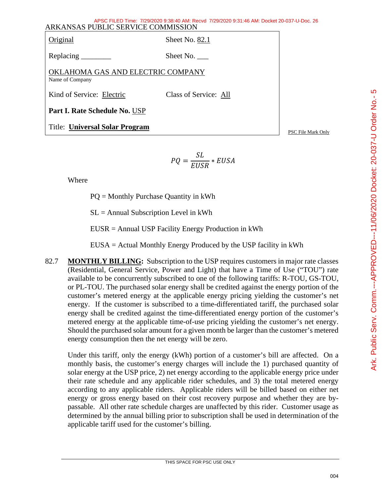| APSC FILED Time: 7/29/2020 9:38:40 AM: Recyd 7/29/2020 9:31:46 AM: Docket 20-037-U-Doc. 26<br>ARKANSAS PUBLIC SERVICE COMMISSION |                       |                    |  |
|----------------------------------------------------------------------------------------------------------------------------------|-----------------------|--------------------|--|
| Original                                                                                                                         | Sheet No. 82.1        |                    |  |
|                                                                                                                                  | Sheet No.             |                    |  |
| OKLAHOMA GAS AND ELECTRIC COMPANY<br>Name of Company                                                                             |                       |                    |  |
| Kind of Service: Electric                                                                                                        | Class of Service: All |                    |  |
| Part I. Rate Schedule No. USP                                                                                                    |                       |                    |  |
| <b>Title: Universal Solar Program</b>                                                                                            |                       | PSC File Mark Only |  |

$$
PQ = \frac{SL}{EUSR} * EUSA
$$

Where

PQ = Monthly Purchase Quantity in kWh

 $SL =$  Annual Subscription Level in kWh

EUSR = Annual USP Facility Energy Production in kWh

EUSA = Actual Monthly Energy Produced by the USP facility in kWh

82.7 **MONTHLY BILLING:** Subscription to the USP requires customers in major rate classes (Residential, General Service, Power and Light) that have a Time of Use ("TOU") rate available to be concurrently subscribed to one of the following tariffs: R-TOU, GS-TOU, or PL-TOU. The purchased solar energy shall be credited against the energy portion of the customer's metered energy at the applicable energy pricing yielding the customer's net energy. If the customer is subscribed to a time-differentiated tariff, the purchased solar energy shall be credited against the time-differentiated energy portion of the customer's metered energy at the applicable time-of-use pricing yielding the customer's net energy. Should the purchased solar amount for a given month be larger than the customer's metered energy consumption then the net energy will be zero.

Under this tariff, only the energy (kWh) portion of a customer's bill are affected. On a monthly basis, the customer's energy charges will include the 1) purchased quantity of solar energy at the USP price, 2) net energy according to the applicable energy price under their rate schedule and any applicable rider schedules, and 3) the total metered energy according to any applicable riders. Applicable riders will be billed based on either net energy or gross energy based on their cost recovery purpose and whether they are bypassable. All other rate schedule charges are unaffected by this rider. Customer usage as determined by the annual billing prior to subscription shall be used in determination of the applicable tariff used for the customer's billing.